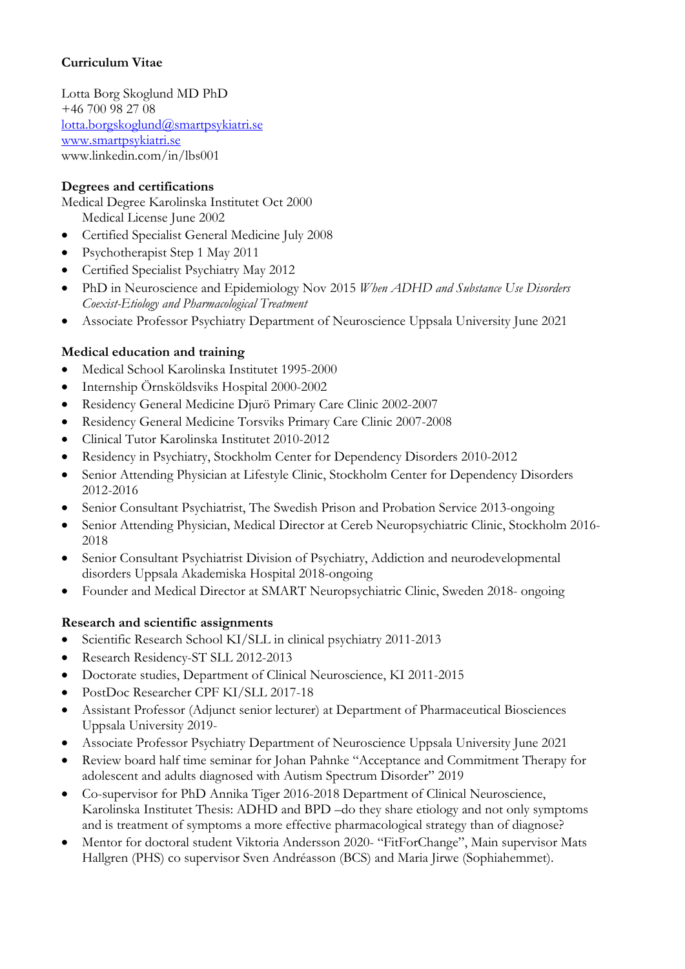# **Curriculum Vitae**

Lotta Borg Skoglund MD PhD +46 700 98 27 08 lotta.borgskoglund@smartpsykiatri.se www.smartpsykiatri.se www.linkedin.com/in/lbs001

### **Degrees and certifications**

Medical Degree Karolinska Institutet Oct 2000 Medical License June 2002

- Certified Specialist General Medicine July 2008
- Psychotherapist Step 1 May 2011
- Certified Specialist Psychiatry May 2012
- PhD in Neuroscience and Epidemiology Nov 2015 *When ADHD and Substance Use Disorders Coexist-Etiology and Pharmacological Treatment*
- Associate Professor Psychiatry Department of Neuroscience Uppsala University June 2021

### **Medical education and training**

- Medical School Karolinska Institutet 1995-2000
- Internship Örnsköldsviks Hospital 2000-2002
- Residency General Medicine Djurö Primary Care Clinic 2002-2007
- Residency General Medicine Torsviks Primary Care Clinic 2007-2008
- Clinical Tutor Karolinska Institutet 2010-2012
- Residency in Psychiatry, Stockholm Center for Dependency Disorders 2010-2012
- Senior Attending Physician at Lifestyle Clinic, Stockholm Center for Dependency Disorders 2012-2016
- Senior Consultant Psychiatrist, The Swedish Prison and Probation Service 2013-ongoing
- Senior Attending Physician, Medical Director at Cereb Neuropsychiatric Clinic, Stockholm 2016- 2018
- Senior Consultant Psychiatrist Division of Psychiatry, Addiction and neurodevelopmental disorders Uppsala Akademiska Hospital 2018-ongoing
- Founder and Medical Director at SMART Neuropsychiatric Clinic, Sweden 2018- ongoing

### **Research and scientific assignments**

- Scientific Research School KI/SLL in clinical psychiatry 2011-2013
- Research Residency-ST SLL 2012-2013
- Doctorate studies, Department of Clinical Neuroscience, KI 2011-2015
- PostDoc Researcher CPF KI/SLL 2017-18
- Assistant Professor (Adjunct senior lecturer) at Department of Pharmaceutical Biosciences Uppsala University 2019-
- Associate Professor Psychiatry Department of Neuroscience Uppsala University June 2021
- Review board half time seminar for Johan Pahnke "Acceptance and Commitment Therapy for adolescent and adults diagnosed with Autism Spectrum Disorder" 2019
- Co-supervisor for PhD Annika Tiger 2016-2018 Department of Clinical Neuroscience, Karolinska Institutet Thesis: ADHD and BPD –do they share etiology and not only symptoms and is treatment of symptoms a more effective pharmacological strategy than of diagnose?
- Mentor for doctoral student Viktoria Andersson 2020- "FitForChange", Main supervisor Mats Hallgren (PHS) co supervisor Sven Andréasson (BCS) and Maria Jirwe (Sophiahemmet).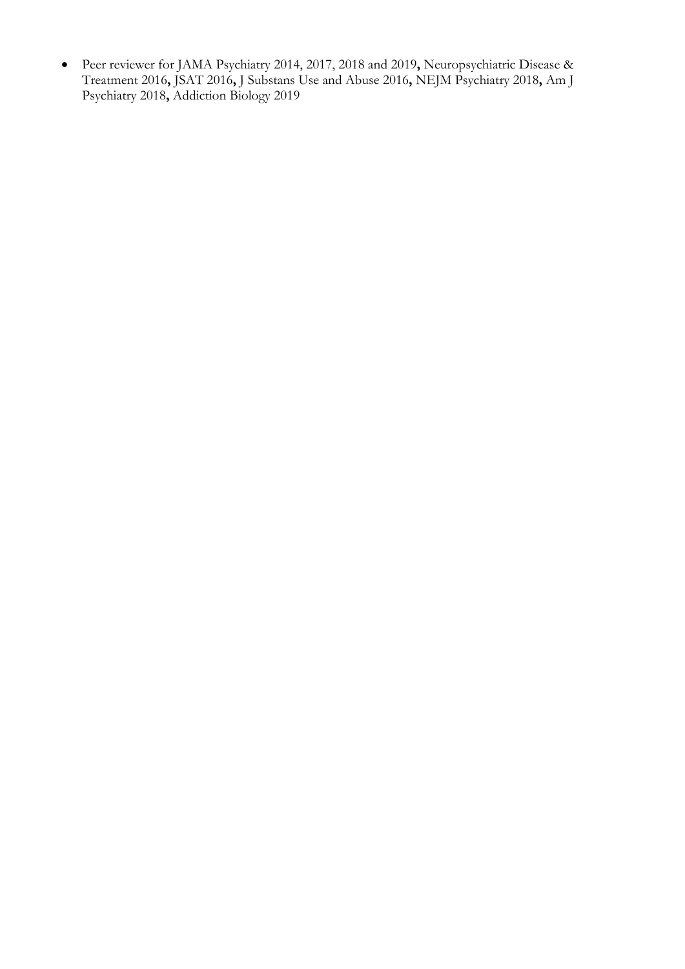• Peer reviewer for JAMA Psychiatry 2014, 2017, 2018 and 2019**,** Neuropsychiatric Disease & Treatment 2016**,** JSAT 2016**,** J Substans Use and Abuse 2016**,** NEJM Psychiatry 2018**,** Am J Psychiatry 2018**,** Addiction Biology 2019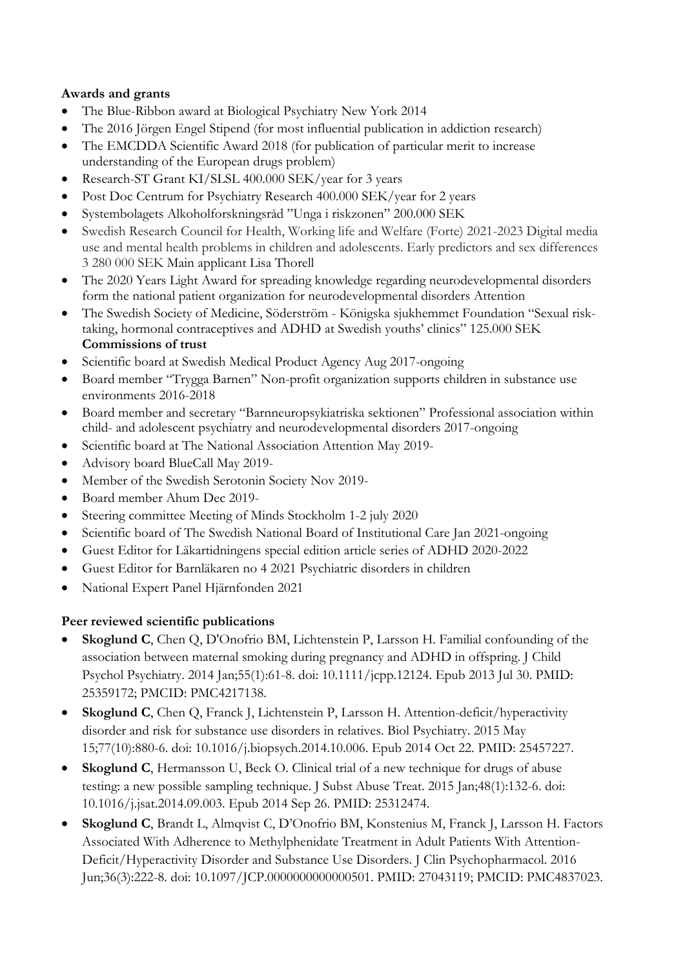## **Awards and grants**

- The Blue-Ribbon award at Biological Psychiatry New York 2014
- The 2016 Jörgen Engel Stipend (for most influential publication in addiction research)
- The EMCDDA Scientific Award 2018 (for publication of particular merit to increase understanding of the European drugs problem)
- Research-ST Grant KI/SLSL 400.000 SEK/year for 3 years
- Post Doc Centrum for Psychiatry Research 400.000 SEK/year for 2 years
- Systembolagets Alkoholforskningsråd "Unga i riskzonen" 200.000 SEK
- Swedish Research Council for Health, Working life and Welfare (Forte) 2021-2023 Digital media use and mental health problems in children and adolescents. Early predictors and sex differences 3 280 000 SEK Main applicant Lisa Thorell
- The 2020 Years Light Award for spreading knowledge regarding neurodevelopmental disorders form the national patient organization for neurodevelopmental disorders Attention
- The Swedish Society of Medicine, Söderström Königska sjukhemmet Foundation "Sexual risktaking, hormonal contraceptives and ADHD at Swedish youths' clinics" 125.000 SEK **Commissions of trust**
- Scientific board at Swedish Medical Product Agency Aug 2017-ongoing
- Board member "Trygga Barnen" Non-profit organization supports children in substance use environments 2016-2018
- Board member and secretary "Barnneuropsykiatriska sektionen" Professional association within child- and adolescent psychiatry and neurodevelopmental disorders 2017-ongoing
- Scientific board at The National Association Attention May 2019-
- Advisory board BlueCall May 2019-
- Member of the Swedish Serotonin Society Nov 2019-
- Board member Ahum Dec 2019-
- Steering committee Meeting of Minds Stockholm 1-2 july 2020
- Scientific board of The Swedish National Board of Institutional Care Jan 2021-ongoing
- Guest Editor for Läkartidningens special edition article series of ADHD 2020-2022
- Guest Editor for Barnläkaren no 4 2021 Psychiatric disorders in children
- National Expert Panel Hjärnfonden 2021

### **Peer reviewed scientific publications**

- **Skoglund C**, Chen Q, D'Onofrio BM, Lichtenstein P, Larsson H. Familial confounding of the association between maternal smoking during pregnancy and ADHD in offspring. J Child Psychol Psychiatry. 2014 Jan;55(1):61-8. doi: 10.1111/jcpp.12124. Epub 2013 Jul 30. PMID: 25359172; PMCID: PMC4217138.
- **Skoglund C**, Chen Q, Franck J, Lichtenstein P, Larsson H. Attention-deficit/hyperactivity disorder and risk for substance use disorders in relatives. Biol Psychiatry. 2015 May 15;77(10):880-6. doi: 10.1016/j.biopsych.2014.10.006. Epub 2014 Oct 22. PMID: 25457227.
- **Skoglund C**, Hermansson U, Beck O. Clinical trial of a new technique for drugs of abuse testing: a new possible sampling technique. J Subst Abuse Treat. 2015 Jan;48(1):132-6. doi: 10.1016/j.jsat.2014.09.003. Epub 2014 Sep 26. PMID: 25312474.
- **Skoglund C**, Brandt L, Almqvist C, D'Onofrio BM, Konstenius M, Franck J, Larsson H. Factors Associated With Adherence to Methylphenidate Treatment in Adult Patients With Attention-Deficit/Hyperactivity Disorder and Substance Use Disorders. J Clin Psychopharmacol. 2016 Jun;36(3):222-8. doi: 10.1097/JCP.0000000000000501. PMID: 27043119; PMCID: PMC4837023.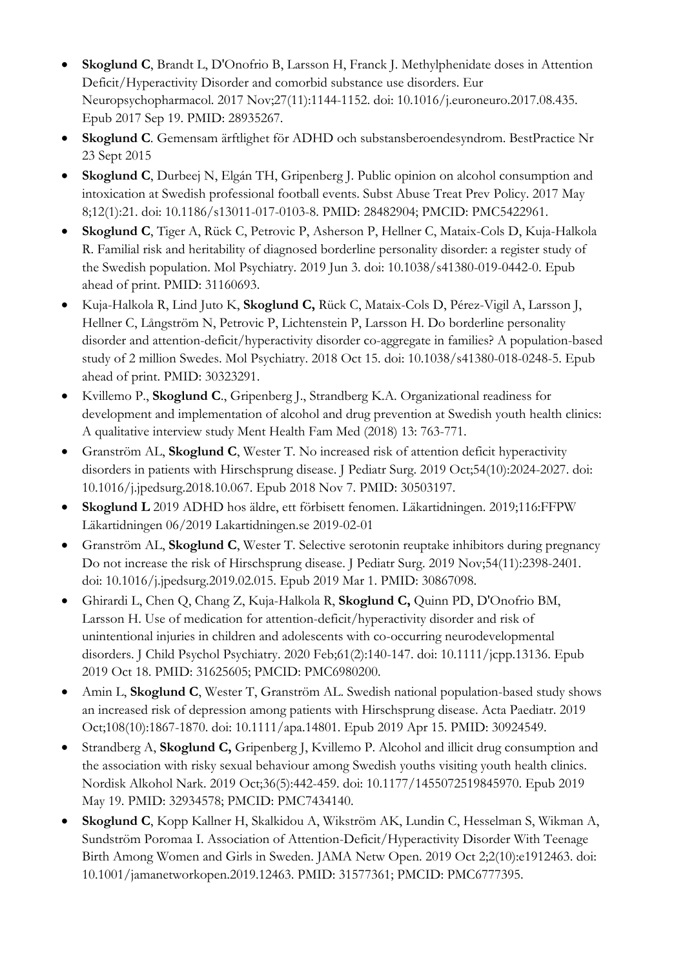- **Skoglund C**, Brandt L, D'Onofrio B, Larsson H, Franck J. Methylphenidate doses in Attention Deficit/Hyperactivity Disorder and comorbid substance use disorders. Eur Neuropsychopharmacol. 2017 Nov;27(11):1144-1152. doi: 10.1016/j.euroneuro.2017.08.435. Epub 2017 Sep 19. PMID: 28935267.
- **Skoglund C**. Gemensam ärftlighet för ADHD och substansberoendesyndrom. BestPractice Nr 23 Sept 2015
- **Skoglund C**, Durbeej N, Elgán TH, Gripenberg J. Public opinion on alcohol consumption and intoxication at Swedish professional football events. Subst Abuse Treat Prev Policy. 2017 May 8;12(1):21. doi: 10.1186/s13011-017-0103-8. PMID: 28482904; PMCID: PMC5422961.
- **Skoglund C**, Tiger A, Rück C, Petrovic P, Asherson P, Hellner C, Mataix-Cols D, Kuja-Halkola R. Familial risk and heritability of diagnosed borderline personality disorder: a register study of the Swedish population. Mol Psychiatry. 2019 Jun 3. doi: 10.1038/s41380-019-0442-0. Epub ahead of print. PMID: 31160693.
- Kuja-Halkola R, Lind Juto K, **Skoglund C,** Rück C, Mataix-Cols D, Pérez-Vigil A, Larsson J, Hellner C, Långström N, Petrovic P, Lichtenstein P, Larsson H. Do borderline personality disorder and attention-deficit/hyperactivity disorder co-aggregate in families? A population-based study of 2 million Swedes. Mol Psychiatry. 2018 Oct 15. doi: 10.1038/s41380-018-0248-5. Epub ahead of print. PMID: 30323291.
- Kvillemo P., **Skoglund C**., Gripenberg J., Strandberg K.A. Organizational readiness for development and implementation of alcohol and drug prevention at Swedish youth health clinics: A qualitative interview study Ment Health Fam Med (2018) 13: 763-771.
- Granström AL, **Skoglund C**, Wester T. No increased risk of attention deficit hyperactivity disorders in patients with Hirschsprung disease. J Pediatr Surg. 2019 Oct;54(10):2024-2027. doi: 10.1016/j.jpedsurg.2018.10.067. Epub 2018 Nov 7. PMID: 30503197.
- **Skoglund L** 2019 ADHD hos äldre, ett förbisett fenomen. Läkartidningen. 2019;116:FFPW Läkartidningen 06/2019 Lakartidningen.se 2019-02-01
- Granström AL, **Skoglund C**, Wester T. Selective serotonin reuptake inhibitors during pregnancy Do not increase the risk of Hirschsprung disease. J Pediatr Surg. 2019 Nov;54(11):2398-2401. doi: 10.1016/j.jpedsurg.2019.02.015. Epub 2019 Mar 1. PMID: 30867098.
- Ghirardi L, Chen Q, Chang Z, Kuja-Halkola R, **Skoglund C,** Quinn PD, D'Onofrio BM, Larsson H. Use of medication for attention-deficit/hyperactivity disorder and risk of unintentional injuries in children and adolescents with co-occurring neurodevelopmental disorders. J Child Psychol Psychiatry. 2020 Feb;61(2):140-147. doi: 10.1111/jcpp.13136. Epub 2019 Oct 18. PMID: 31625605; PMCID: PMC6980200.
- Amin L, **Skoglund C**, Wester T, Granström AL. Swedish national population-based study shows an increased risk of depression among patients with Hirschsprung disease. Acta Paediatr. 2019 Oct;108(10):1867-1870. doi: 10.1111/apa.14801. Epub 2019 Apr 15. PMID: 30924549.
- Strandberg A, **Skoglund C,** Gripenberg J, Kvillemo P. Alcohol and illicit drug consumption and the association with risky sexual behaviour among Swedish youths visiting youth health clinics. Nordisk Alkohol Nark. 2019 Oct;36(5):442-459. doi: 10.1177/1455072519845970. Epub 2019 May 19. PMID: 32934578; PMCID: PMC7434140.
- **Skoglund C**, Kopp Kallner H, Skalkidou A, Wikström AK, Lundin C, Hesselman S, Wikman A, Sundström Poromaa I. Association of Attention-Deficit/Hyperactivity Disorder With Teenage Birth Among Women and Girls in Sweden. JAMA Netw Open. 2019 Oct 2;2(10):e1912463. doi: 10.1001/jamanetworkopen.2019.12463. PMID: 31577361; PMCID: PMC6777395.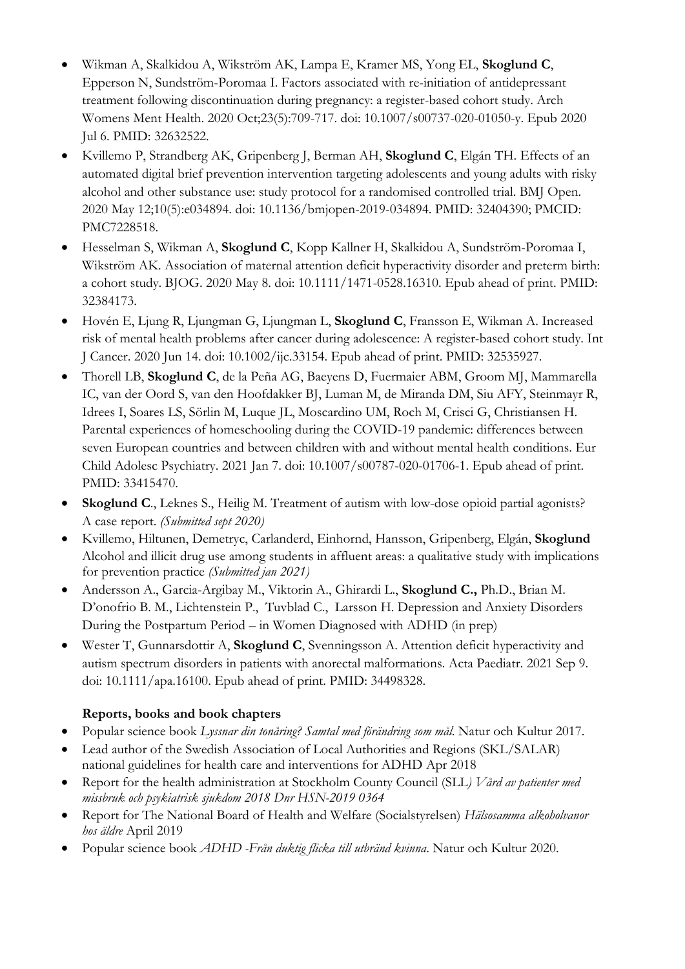- Wikman A, Skalkidou A, Wikström AK, Lampa E, Kramer MS, Yong EL, **Skoglund C**, Epperson N, Sundström-Poromaa I. Factors associated with re-initiation of antidepressant treatment following discontinuation during pregnancy: a register-based cohort study. Arch Womens Ment Health. 2020 Oct;23(5):709-717. doi: 10.1007/s00737-020-01050-y. Epub 2020 Jul 6. PMID: 32632522.
- Kvillemo P, Strandberg AK, Gripenberg J, Berman AH, **Skoglund C**, Elgán TH. Effects of an automated digital brief prevention intervention targeting adolescents and young adults with risky alcohol and other substance use: study protocol for a randomised controlled trial. BMJ Open. 2020 May 12;10(5):e034894. doi: 10.1136/bmjopen-2019-034894. PMID: 32404390; PMCID: PMC7228518.
- Hesselman S, Wikman A, **Skoglund C**, Kopp Kallner H, Skalkidou A, Sundström-Poromaa I, Wikström AK. Association of maternal attention deficit hyperactivity disorder and preterm birth: a cohort study. BJOG. 2020 May 8. doi: 10.1111/1471-0528.16310. Epub ahead of print. PMID: 32384173.
- Hovén E, Ljung R, Ljungman G, Ljungman L, **Skoglund C**, Fransson E, Wikman A. Increased risk of mental health problems after cancer during adolescence: A register-based cohort study. Int J Cancer. 2020 Jun 14. doi: 10.1002/ijc.33154. Epub ahead of print. PMID: 32535927.
- Thorell LB, **Skoglund C**, de la Peña AG, Baeyens D, Fuermaier ABM, Groom MJ, Mammarella IC, van der Oord S, van den Hoofdakker BJ, Luman M, de Miranda DM, Siu AFY, Steinmayr R, Idrees I, Soares LS, Sörlin M, Luque JL, Moscardino UM, Roch M, Crisci G, Christiansen H. Parental experiences of homeschooling during the COVID-19 pandemic: differences between seven European countries and between children with and without mental health conditions. Eur Child Adolesc Psychiatry. 2021 Jan 7. doi: 10.1007/s00787-020-01706-1. Epub ahead of print. PMID: 33415470.
- **Skoglund C**., Leknes S., Heilig M. Treatment of autism with low-dose opioid partial agonists? A case report. *(Submitted sept 2020)*
- Kvillemo, Hiltunen, Demetryc, Carlanderd, Einhornd, Hansson, Gripenberg, Elgán, **Skoglund** Alcohol and illicit drug use among students in affluent areas: a qualitative study with implications for prevention practice *(Submitted jan 2021)*
- Andersson A., Garcia-Argibay M., Viktorin A., Ghirardi L., **Skoglund C.,** Ph.D., Brian M. D'onofrio B. M., Lichtenstein P., Tuvblad C., Larsson H. Depression and Anxiety Disorders During the Postpartum Period – in Women Diagnosed with ADHD (in prep)
- Wester T, Gunnarsdottir A, **Skoglund C**, Svenningsson A. Attention deficit hyperactivity and autism spectrum disorders in patients with anorectal malformations. Acta Paediatr. 2021 Sep 9. doi: 10.1111/apa.16100. Epub ahead of print. PMID: 34498328.

## **Reports, books and book chapters**

- Popular science book *Lyssnar din tonåring? Samtal med förändring som mål*. Natur och Kultur 2017.
- Lead author of the Swedish Association of Local Authorities and Regions (SKL/SALAR) national guidelines for health care and interventions for ADHD Apr 2018
- Report for the health administration at Stockholm County Council (SLL*) Vård av patienter med missbruk och psykiatrisk sjukdom 2018 Dnr HSN-2019 0364*
- Report for The National Board of Health and Welfare (Socialstyrelsen) *Hälsosamma alkoholvanor hos äldre* April 2019
- Popular science book *ADHD -Från duktig flicka till utbränd kvinna*. Natur och Kultur 2020.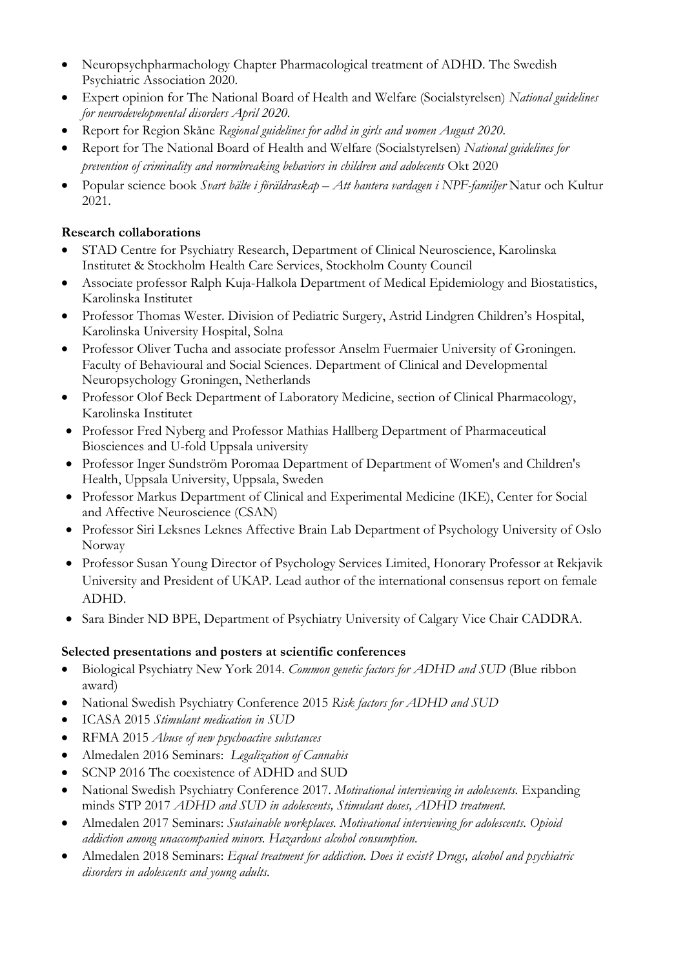- Neuropsychpharmachology Chapter Pharmacological treatment of ADHD. The Swedish Psychiatric Association 2020.
- Expert opinion for The National Board of Health and Welfare (Socialstyrelsen) *National guidelines for neurodevelopmental disorders April 2020.*
- Report for Region Skåne *Regional guidelines for adhd in girls and women August 2020.*
- Report for The National Board of Health and Welfare (Socialstyrelsen) *National guidelines for prevention of criminality and normbreaking behaviors in children and adolecents* Okt 2020
- Popular science book *Svart bälte i föräldraskap – Att hantera vardagen i NPF-familjer* Natur och Kultur 2021.

### **Research collaborations**

- STAD Centre for Psychiatry Research, Department of Clinical Neuroscience, Karolinska Institutet & Stockholm Health Care Services, Stockholm County Council
- Associate professor Ralph Kuja-Halkola Department of Medical Epidemiology and Biostatistics, Karolinska Institutet
- Professor Thomas Wester. Division of Pediatric Surgery, Astrid Lindgren Children's Hospital, Karolinska University Hospital, Solna
- Professor Oliver Tucha and associate professor Anselm Fuermaier University of Groningen. Faculty of Behavioural and Social Sciences. Department of Clinical and Developmental Neuropsychology Groningen, Netherlands
- Professor Olof Beck Department of Laboratory Medicine, section of Clinical Pharmacology, Karolinska Institutet
- Professor Fred Nyberg and Professor Mathias Hallberg Department of Pharmaceutical Biosciences and U-fold Uppsala university
- Professor Inger Sundström Poromaa Department of Department of Women's and Children's Health, Uppsala University, Uppsala, Sweden
- Professor Markus Department of Clinical and Experimental Medicine (IKE), Center for Social and Affective Neuroscience (CSAN)
- Professor Siri Leksnes Leknes Affective Brain Lab Department of Psychology University of Oslo Norway
- Professor Susan Young Director of Psychology Services Limited, Honorary Professor at Rekjavik University and President of UKAP. Lead author of the international consensus report on female ADHD.
- Sara Binder ND BPE, Department of Psychiatry University of Calgary Vice Chair CADDRA.

### **Selected presentations and posters at scientific conferences**

- Biological Psychiatry New York 2014. *Common genetic factors for ADHD and SUD* (Blue ribbon award)
- National Swedish Psychiatry Conference 2015 *Risk factors for ADHD and SUD*
- ICASA 2015 *Stimulant medication in SUD*
- RFMA 2015 *Abuse of new psychoactive substances*
- Almedalen 2016 Seminars: *Legalization of Cannabis*
- SCNP 2016 The coexistence of ADHD and SUD
- National Swedish Psychiatry Conference 2017. *Motivational interviewing in adolescents.* Expanding minds STP 2017 *ADHD and SUD in adolescents, Stimulant doses, ADHD treatment.*
- Almedalen 2017 Seminars: *Sustainable workplaces. Motivational interviewing for adolescents. Opioid addiction among unaccompanied minors. Hazardous alcohol consumption.*
- Almedalen 2018 Seminars: *Equal treatment for addiction. Does it exist? Drugs, alcohol and psychiatric disorders in adolescents and young adults.*